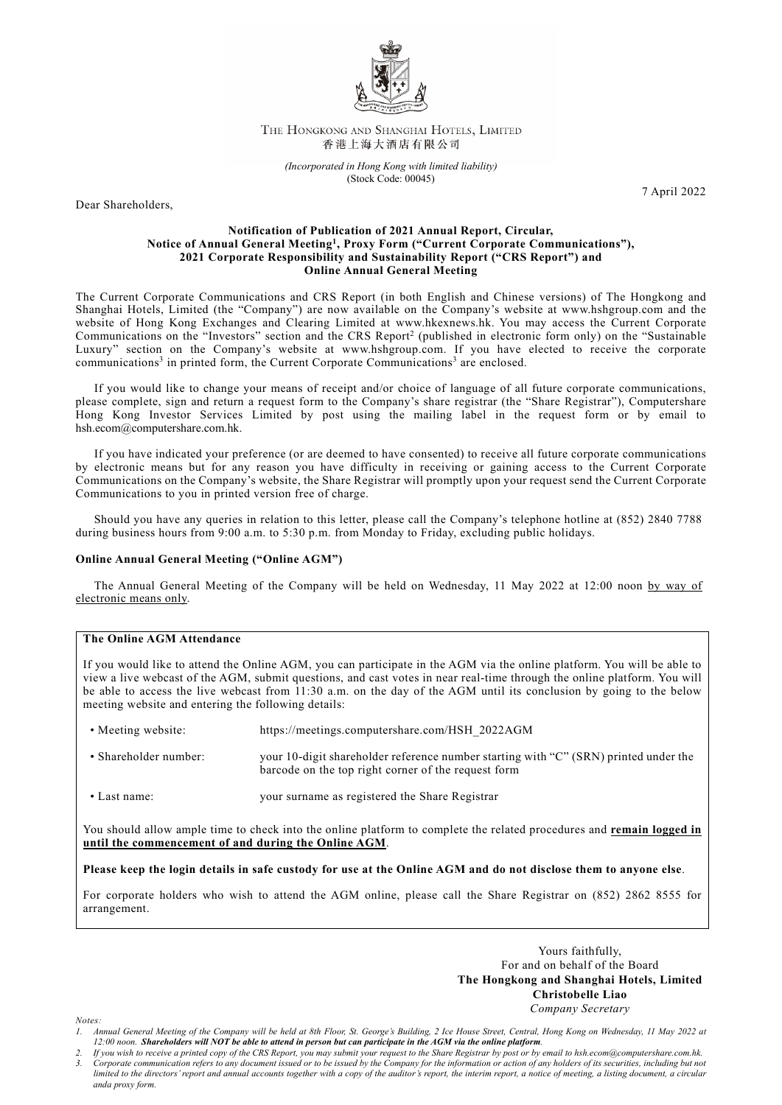

## THE HONGKONG AND SHANGHAI HOTELS, LIMITED 香港上海大酒店有限公司

*(Incorporated in Hong Kong with limited liability)* (Stock Code: 00045)

Dear Shareholders,

7 April 2022

## **Notification of Publication of 2021 Annual Report, Circular, Notice of Annual General Meeting1, Proxy Form ("Current Corporate Communications"), 2021 Corporate Responsibility and Sustainability Report ("CRS Report") and Online Annual General Meeting**

The Current Corporate Communications and CRS Report (in both English and Chinese versions) of The Hongkong and Shanghai Hotels, Limited (the "Company") are now available on the Company's website at [www.hshgroup.com](http://www.hshgroup.com/) and the website of Hong Kong Exchanges and Clearing Limited at [www.hkexnews.hk.](http://www.hkexnews.hk/) You may access the Current Corporate Communications on the "Investors" section and the CRS Report2 (published in electronic form only) on the "Sustainable Luxury" section on the Company's website at [www.hshgroup.com.](http://www.hshgroup.com/) If you have elected to receive the corporate communications<sup>3</sup> in printed form, the Current Corporate Communications<sup>3</sup> are enclosed.

If you would like to change your means of receipt and/or choice of language of all future corporate communications, please complete, sign and return a request form to the Company's share registrar (the "Share Registrar"), Computershare Hong Kong Investor Services Limited by post using the mailing label in the request form or by email to [hsh.ecom@computershare.com.hk.](mailto:hsh.ecom@computershare.com.hk)

If you have indicated your preference (or are deemed to have consented) to receive all future corporate communications by electronic means but for any reason you have difficulty in receiving or gaining access to the Current Corporate Communications on the Company's website, the Share Registrar will promptly upon your request send the Current Corporate Communications to you in printed version free of charge.

Should you have any queries in relation to this letter, please call the Company's telephone hotline at (852) 2840 7788 during business hours from 9:00 a.m. to 5:30 p.m. from Monday to Friday, excluding public holidays.

## **Online Annual General Meeting ("Online AGM")**

The Annual General Meeting of the Company will be held on Wednesday, 11 May 2022 at 12:00 noon by way of electronic means only.

## **The Online AGM Attendance**

If you would like to attend the Online AGM, you can participate in the AGM via the online platform. You will be able to view a live webcast of the AGM, submit questions, and cast votes in near real-time through the online platform. You will be able to access the live webcast from 11:30 a.m. on the day of the AGM until its conclusion by going to the below meeting website and entering the following details:

- Meeting website: https://meetings.computershare.com/HSH\_2022AGM
- Shareholder number: your 10-digit shareholder reference number starting with "C" (SRN) printed under the barcode on the top right corner of the request form
- Last name: your surname as registered the Share Registrar

You should allow ample time to check into the online platform to complete the related procedures and **remain logged in until the commencement of and during the Online AGM**.

**Please keep the login details in safe custody for use at the Online AGM and do not disclose them to anyone else**.

For corporate holders who wish to attend the AGM online, please call the Share Registrar on (852) 2862 8555 for arrangement.

> Yours faithfully, For and on behalf of the Board **The Hongkong and Shanghai Hotels, Limited Christobelle Liao** *Company Secretary*

*Notes:*

*<sup>1.</sup> Annual General Meeting of the Company will be held at 8th Floor, St. George's Building, 2 Ice House Street, Central, Hong Kong on Wednesday, 11 May 2022 at 12:00 noon. Shareholders will NOT be able to attend in person but can participate in the AGM via the online platform.*

*<sup>2.</sup> If you wish to receive a printed copy of the CRS Report, you may submit your request to the Share Registrar by post or by email to hsh.ecom@computershare.com.hk. 3. Corporate communication refers to any document issued or to be issued by the Company for the information or action of any holders of its securities, including but not limited to the directors' report and annual accounts together with a copy of the auditor's report, the interim report, a notice of meeting, a listing document, a circular anda proxy form.*